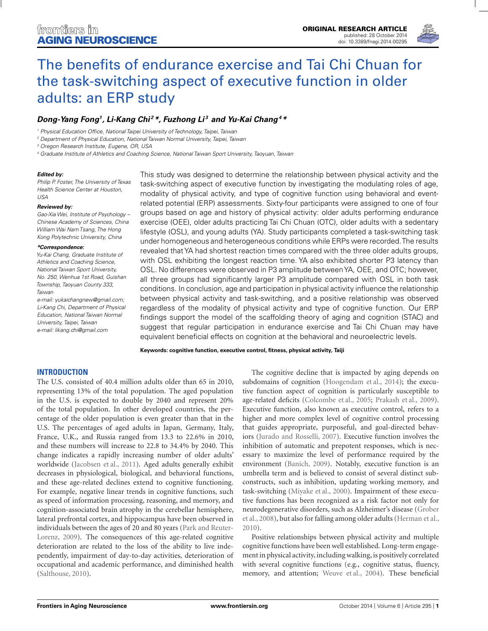

# [The benefits of endurance exercise and Tai Chi Chuan for](http://www.frontiersin.org/Journal/10.3389/fnagi.2014.00295/abstract) the task-switching aspect of executive function in older adults: an ERP study

# *[Dong-Yang Fong1](http://community.frontiersin.org/people/u/189701), Li-Kang Chi <sup>2</sup> \*, [Fuzhong Li](http://community.frontiersin.org/people/u/189697) <sup>3</sup> and [Yu-Kai Chang4](http://community.frontiersin.org/people/u/142267) \**

<sup>1</sup> Physical Education Office, National Taipei University of Technology, Taipei, Taiwan

<sup>2</sup> Department of Physical Education, National Taiwan Normal University, Taipei, Taiwan

<sup>3</sup> Oregon Research Institute, Eugene, OR, USA

<sup>4</sup> Graduate Institute of Athletics and Coaching Science, National Taiwan Sport University, Taoyuan, Taiwan

#### *Edited by:*

Philip P. Foster, The University of Texas Health Science Center at Houston, USA

#### *Reviewed by:*

Gao-Xia Wei, Institute of Psychology – Chinese Academy of Sciences, China William Wai Nam Tsang, The Hong Kong Polytechnic University, China

#### *\*Correspondence:*

Yu-Kai Chang, Graduate Institute of Athletics and Coaching Science, National Taiwan Sport University, No. 250, Wenhua 1st Road, Guishan Township, Taoyuan County 333, Taiwan

e-mail: [yukaichangnew@gmail.com;](mailto:yukaichangnew@gmail.com) Li-Kang Chi, Department of Physical Education, National Taiwan Normal University, Taipei, Taiwan e-mail: [likang.chi@gmail.com](mailto:likang.chi@gmail.com)

This study was designed to determine the relationship between physical activity and the task-switching aspect of executive function by investigating the modulating roles of age, modality of physical activity, and type of cognitive function using behavioral and eventrelated potential (ERP) assessments. Sixty-four participants were assigned to one of four groups based on age and history of physical activity: older adults performing endurance exercise (OEE), older adults practicing Tai Chi Chuan (OTC), older adults with a sedentary lifestyle (OSL), and young adults (YA). Study participants completed a task-switching task under homogeneous and heterogeneous conditions while ERPs were recorded.The results revealed that YA had shortest reaction times compared with the three older adults groups, with OSL exhibiting the longest reaction time. YA also exhibited shorter P3 latency than OSL. No differences were observed in P3 amplitude between YA, OEE, and OTC; however, all three groups had significantly larger P3 amplitude compared with OSL in both task conditions. In conclusion, age and participation in physical activity influence the relationship between physical activity and task-switching, and a positive relationship was observed regardless of the modality of physical activity and type of cognitive function. Our ERP findings support the model of the scaffolding theory of aging and cognition (STAC) and suggest that regular participation in endurance exercise and Tai Chi Chuan may have equivalent beneficial effects on cognition at the behavioral and neuroelectric levels.

**Keywords: cognitive function, executive control, fitness, physical activity, Taiji**

# **INTRODUCTION**

The U.S. consisted of 40.4 million adults older than 65 in 2010, representing 13% of the total population. The aged population in the U.S. is expected to double by 2040 and represent 20% of the total population. In other developed countries, the percentage of the older population is even greater than that in the U.S. The percentages of aged adults in Japan, Germany, Italy, France, U.K., and Russia ranged from 13.3 to 22.6% in 2010, and these numbers will increase to 22.8 to 34.4% by 2040. This change indicates a rapidly increasing number of older adults' worldwide [\(Jacobsen et al.](#page-9-0), [2011\)](#page-9-0). Aged adults generally exhibit decreases in physiological, biological, and behavioral functions, and these age-related declines extend to cognitive functioning. For example, negative linear trends in cognitive functions, such as speed of information processing, reasoning, and memory, and cognition-associated brain atrophy in the cerebellar hemisphere, lateral prefrontal cortex, and hippocampus have been observed in indivi[duals between the ages of 20 and 80 years \(](#page-9-0)Park and Reuter-Lorenz, [2009\)](#page-9-0). The consequences of this age-related cognitive deterioration are related to the loss of the ability to live independently, impairment of day-to-day activities, deterioration of occupational and academic performance, and diminished health [\(Salthouse](#page-10-0), [2010\)](#page-10-0).

The cognitive decline that is impacted by aging depends on subdomains of cognition [\(Hoogendam et al.](#page-9-0), [2014\)](#page-9-0); the executive function aspect of cognition is particularly susceptible to age-related deficits [\(Colcombe et al., 2005](#page-8-0); [Prakash et al., 2009](#page-9-0)). Executive function, also known as executive control, refers to a higher and more complex level of cognitive control processing that guides appropriate, purposeful, and goal-directed behaviors [\(Jurado and Rosselli](#page-9-0), [2007](#page-9-0)). Executive function involves the inhibition of automatic and prepotent responses, which is necessary to maximize the level of performance required by the environment [\(Banich, 2009\)](#page-8-0). Notably, executive function is an umbrella term and is believed to consist of several distinct subconstructs, such as inhibition, updating working memory, and task-switching [\(Miyake et al., 2000\)](#page-9-0). Impairment of these executive functions has been recognized as a risk factor not only for neu[rodegenerative](#page-9-0) [disorders,](#page-9-0) [such](#page-9-0) [as](#page-9-0) [Alzheimer's](#page-9-0) [disease](#page-9-0) [\(](#page-9-0)Grober et al., [2008\)](#page-9-0), but also for falling among older adults [\(Herman et al.,](#page-9-0) [2010](#page-9-0)).

Positive relationships between physical activity and multiple cognitive functions have been well established. Long-term engagement in physical activity, including walking, is positively correlated with several cognitive functions (e.g., cognitive status, fluency, memory, and attention; [Weuve et al., 2004\)](#page-10-0). These beneficial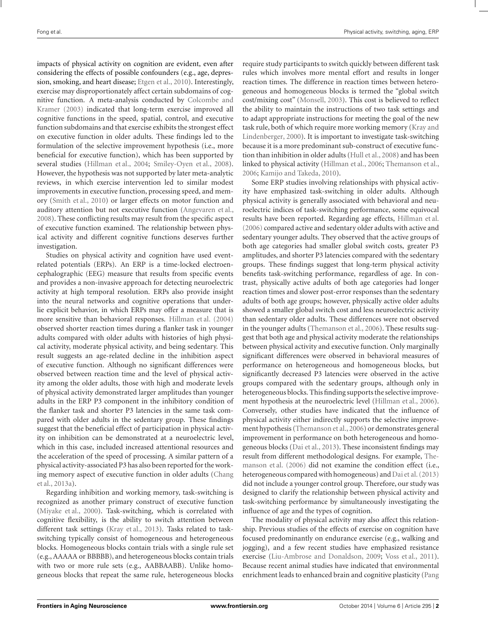impacts of physical activity on cognition are evident, even after considering the effects of possible confounders (e.g., age, depression, smoking, and heart disease; [Etgen et al., 2010](#page-9-0)). Interestingly, exercise may disproportionately affect certain subdomains of cognitive f[unction. A meta-analysis conducted by](#page-8-0) Colcombe and Kramer [\(2003](#page-8-0)) indicated that long-term exercise improved all cognitive functions in the speed, spatial, control, and executive function subdomains and that exercise exhibits the strongest effect on executive function in older adults. These findings led to the formulation of the selective improvement hypothesis (i.e., more beneficial for executive function), which has been supported by several studies [\(Hillman et al.](#page-9-0), [2004](#page-9-0); [Smiley-Oyen et al.](#page-10-0), [2008](#page-10-0)). However, the hypothesis was not supported by later meta-analytic reviews, in which exercise intervention led to similar modest improvements in executive function, processing speed, and memory [\(Smith et al.](#page-10-0), [2010](#page-10-0)) or larger effects on motor function and auditory attention but not executive function [\(Angevaren et al.,](#page-8-0) [2008\)](#page-8-0). These conflicting results may result from the specific aspect of executive function examined. The relationship between physical activity and different cognitive functions deserves further investigation.

Studies on physical activity and cognition have used eventrelated potentials (ERPs). An ERP is a time-locked electroencephalographic (EEG) measure that results from specific events and provides a non-invasive approach for detecting neuroelectric activity at high temporal resolution. ERPs also provide insight into the neural networks and cognitive operations that underlie explicit behavior, in which ERPs may offer a measure that is more sensitive than behavioral responses. [Hillman et al.](#page-9-0) [\(2004](#page-9-0)) observed shorter reaction times during a flanker task in younger adults compared with older adults with histories of high physical activity, moderate physical activity, and being sedentary. This result suggests an age-related decline in the inhibition aspect of executive function. Although no significant differences were observed between reaction time and the level of physical activity among the older adults, those with high and moderate levels of physical activity demonstrated larger amplitudes than younger adults in the ERP P3 component in the inhibitory condition of the flanker task and shorter P3 latencies in the same task compared with older adults in the sedentary group. These findings suggest that the beneficial effect of participation in physical activity on inhibition can be demonstrated at a neuroelectric level, which in this case, included increased attentional resources and the acceleration of the speed of processing. A similar pattern of a physical activity-associated P3 has also been reported for the working [memory aspect of executive function in older adults \(](#page-8-0)Chang et al., [2013a](#page-8-0)).

Regarding inhibition and working memory, task-switching is recognized as another primary construct of executive function [\(Miyake et al., 2000\)](#page-9-0). Task-switching, which is correlated with cognitive flexibility, is the ability to switch attention between different task settings [\(Kray et al., 2013\)](#page-9-0). Tasks related to taskswitching typically consist of homogeneous and heterogeneous blocks. Homogeneous blocks contain trials with a single rule set (e.g., AAAAA or BBBBB), and heterogeneous blocks contain trials with two or more rule sets (e.g., AABBAABB). Unlike homogeneous blocks that repeat the same rule, heterogeneous blocks require study participants to switch quickly between different task rules which involves more mental effort and results in longer reaction times. The difference in reaction times between heterogeneous and homogeneous blocks is termed the "global switch cost/mixing cost" [\(Monsell, 2003](#page-9-0)). This cost is believed to reflect the ability to maintain the instructions of two task settings and to adapt appropriate instructions for meeting the goal of the new task rule, bot[h of which require more working memory \(](#page-9-0)Kray and Lindenberger, [2000\)](#page-9-0). It is important to investigate task-switching because it is a more predominant sub-construct of executive function than inhibition in older adults [\(Hull et al.](#page-9-0), [2008](#page-9-0)) and has been linked to physical activity [\(Hillman et al.](#page-9-0), [2006;](#page-9-0) [Themanson et al.,](#page-10-0) [2006](#page-10-0); [Kamijo and Takeda, 2010](#page-9-0)).

Some ERP studies involving relationships with physical activity have emphasized task-switching in older adults. Although physical activity is generally associated with behavioral and neuroelectric indices of task-switching performance, some equivocal results have been reported. Regarding age effects, [Hillman et al.](#page-9-0) [\(2006\)](#page-9-0) compared active and sedentary older adults with active and sedentary younger adults. They observed that the active groups of both age categories had smaller global switch costs, greater P3 amplitudes, and shorter P3 latencies compared with the sedentary groups. These findings suggest that long-term physical activity benefits task-switching performance, regardless of age. In contrast, physically active adults of both age categories had longer reaction times and slower post-error responses than the sedentary adults of both age groups; however, physically active older adults showed a smaller global switch cost and less neuroelectric activity than sedentary older adults. These differences were not observed in the younger adults [\(Themanson et al.](#page-10-0), [2006](#page-10-0)). These results suggest that both age and physical activity moderate the relationships between physical activity and executive function. Only marginally significant differences were observed in behavioral measures of performance on heterogeneous and homogeneous blocks, but significantly decreased P3 latencies were observed in the active groups compared with the sedentary groups, although only in heterogeneous blocks. This finding supports the selective improvement hypothesis at the neuroelectric level [\(Hillman et al.](#page-9-0), [2006](#page-9-0)). Conversely, other studies have indicated that the influence of physical activity either indirectly supports the selective improvement hypothesis [\(Themanson et al., 2006](#page-10-0)) or demonstrates general improvement in performance on both heterogeneous and homogeneous blocks [\(Dai et al., 2013](#page-9-0)). These inconsistent findings may result from d[ifferent](#page-10-0) [methodological](#page-10-0) [designs.](#page-10-0) [For](#page-10-0) [example,](#page-10-0) Themanson et al. [\(2006\)](#page-10-0) did not examine the condition effect (i.e., heterogeneous compared with homogeneous) and [Dai et al.](#page-9-0) [\(2013](#page-9-0)) did not include a younger control group. Therefore, our study was designed to clarify the relationship between physical activity and task-switching performance by simultaneously investigating the influence of age and the types of cognition.

The modality of physical activity may also affect this relationship. Previous studies of the effects of exercise on cognition have focused predominantly on endurance exercise (e.g., walking and jogging), and a few recent studies have emphasized resistance exercise [\(Liu-Ambrose and Donaldson](#page-9-0), [2009;](#page-9-0) [Voss et al.](#page-10-0), [2011](#page-10-0)). Because recent animal studies have indicated that environmental enrichment leads to enhanced brain and cognitive plasticity (Pang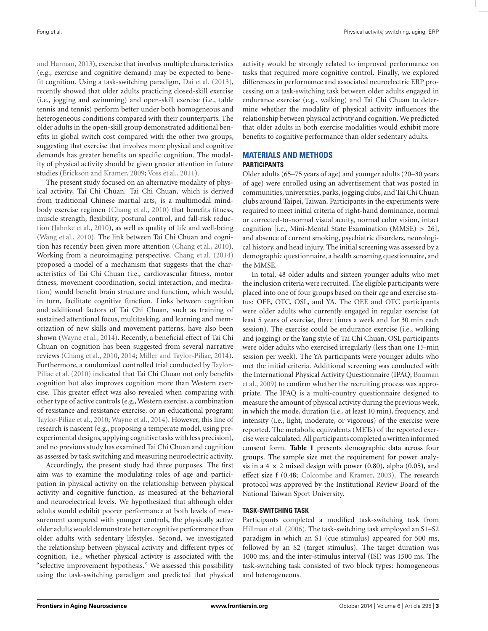and Hannan, [2013](#page-9-0)), exercise that involves multiple characteristics (e.g., exercise and cognitive demand) may be expected to benefit cognition. Using a task-switching paradigm, [Dai et al.](#page-9-0) [\(2013](#page-9-0)), recently showed that older adults practicing closed-skill exercise (i.e., jogging and swimming) and open-skill exercise (i.e., table tennis and tennis) perform better under both homogeneous and heterogeneous conditions compared with their counterparts. The older adults in the open-skill group demonstrated additional benefits in global switch cost compared with the other two groups, suggesting that exercise that involves more physical and cognitive demands has greater benefits on specific cognition. The modality of physical activity should be given greater attention in future studies [\(Erickson and Kramer](#page-9-0), [2009](#page-9-0); [Voss et al., 2011](#page-10-0)).

The present study focused on an alternative modality of physical activity, Tai Chi Chuan. Tai Chi Chuan, which is derived from traditional Chinese martial arts, is a multimodal mindbody exercise regimen [\(Chang et al.](#page-8-0), [2010\)](#page-8-0) that benefits fitness, muscle strength, flexibility, postural control, and fall-risk reduction [\(Jahnke et al., 2010](#page-9-0)), as well as quality of life and well-being [\(Wang et al.](#page-10-0), [2010](#page-10-0)). The link between Tai Chi Chuan and cognition has recently been given more attention [\(Chang et al.](#page-8-0), [2010](#page-8-0)). Working from a neuroimaging perspective, [Chang et al.](#page-8-0) [\(2014](#page-8-0)) proposed a model of a mechanism that suggests that the characteristics of Tai Chi Chuan (i.e., cardiovascular fitness, motor fitness, movement coordination, social interaction, and meditation) would benefit brain structure and function, which would, in turn, facilitate cognitive function. Links between cognition and additional factors of Tai Chi Chuan, such as training of sustained attentional focus, multitasking, and learning and memorization of new skills and movement patterns, have also been shown [\(Wayne et al., 2014](#page-10-0)). Recently, a beneficial effect of Tai Chi Chuan on cognition has been suggested from several narrative reviews [\(Chang et al., 2010](#page-8-0), [2014](#page-8-0); [Miller and Taylor-Piliae, 2014](#page-9-0)). Furtherm[ore, a randomized controlled trial conducted by](#page-10-0) Taylor-Piliae et al. [\(2010\)](#page-10-0) indicated that Tai Chi Chuan not only benefits cognition but also improves cognition more than Western exercise. This greater effect was also revealed when comparing with other type of active controls (e.g.,Western exercise, a combination of resistance and resistance exercise, or an educational program; [Taylor-Piliae et al., 2010;](#page-10-0) [Wayne et al., 2014](#page-10-0)). However, this line of research is nascent (e.g., proposing a temperate model, using preexperimental designs, applying cognitive tasks with less precision), and no previous study has examined Tai Chi Chuan and cognition as assessed by task switching and measuring neuroelectric activity.

Accordingly, the present study had three purposes. The first aim was to examine the modulating roles of age and participation in physical activity on the relationship between physical activity and cognitive function, as measured at the behavioral and neuroelectrical levels. We hypothesized that although older adults would exhibit poorer performance at both levels of measurement compared with younger controls, the physically active older adults would demonstrate better cognitive performance than older adults with sedentary lifestyles. Second, we investigated the relationship between physical activity and different types of cognition, i.e., whether physical activity is associated with the "selective improvement hypothesis." We assessed this possibility using the task-switching paradigm and predicted that physical activity would be strongly related to improved performance on tasks that required more cognitive control. Finally, we explored differences in performance and associated neuroelectric ERP processing on a task-switching task between older adults engaged in endurance exercise (e.g., walking) and Tai Chi Chuan to determine whether the modality of physical activity influences the relationship between physical activity and cognition. We predicted that older adults in both exercise modalities would exhibit more benefits to cognitive performance than older sedentary adults.

# **MATERIALS AND METHODS**

## **PARTICIPANTS**

Older adults (65–75 years of age) and younger adults (20–30 years of age) were enrolled using an advertisement that was posted in communities, universities, parks, jogging clubs, and Tai Chi Chuan clubs around Taipei, Taiwan. Participants in the experiments were required to meet initial criteria of right-hand dominance, normal or corrected-to-normal visual acuity, normal color vision, intact cognition [i.e., Mini-Mental State Examination (MMSE) > 26], and absence of current smoking, psychiatric disorders, neurological history, and head injury. The initial screening was assessed by a demographic questionnaire, a health screening questionnaire, and the MMSE.

In total, 48 older adults and sixteen younger adults who met the inclusion criteria were recruited. The eligible participants were placed into one of four groups based on their age and exercise status: OEE, OTC, OSL, and YA. The OEE and OTC participants were older adults who currently engaged in regular exercise (at least 5 years of exercise, three times a week and for 30 min each session). The exercise could be endurance exercise (i.e., walking and jogging) or the Yang style of Tai Chi Chuan. OSL participants were older adults who exercised irregularly (less than one 15-min session per week). The YA participants were younger adults who met the initial criteria. Additional screening was conducted with the I[nternational](#page-8-0) [Physical](#page-8-0) [Activity](#page-8-0) [Questionnaire](#page-8-0) [\(IPAQ;](#page-8-0) Bauman et al., [2009\)](#page-8-0) to confirm whether the recruiting process was appropriate. The IPAQ is a multi-country questionnaire designed to measure the amount of physical activity during the previous week, in which the mode, duration (i.e., at least 10 min), frequency, and intensity (i.e., light, moderate, or vigorous) of the exercise were reported. The metabolic equivalents (METs) of the reported exercise were calculated. All participants completed a written informed consent form. **[Table 1](#page-3-0)** presents demographic data across four groups. The sample size met the requirement for power analysis in a  $4 \times 2$  mixed design with power (0.80), alpha (0.05), and effect size f (0.48; [Colcombe and Kramer, 2003](#page-8-0)). The research protocol was approved by the Institutional Review Board of the National Taiwan Sport University.

## **TASK-SWITCHING TASK**

Participants completed a modified task-switching task from [Hillman et al.](#page-9-0) [\(2006](#page-9-0)). The task-switching task employed an S1–S2 paradigm in which an S1 (cue stimulus) appeared for 500 ms, followed by an S2 (target stimulus). The target duration was 1000 ms, and the inter-stimulus interval (ISI) was 1500 ms. The task-switching task consisted of two block types: homogeneous and heterogeneous.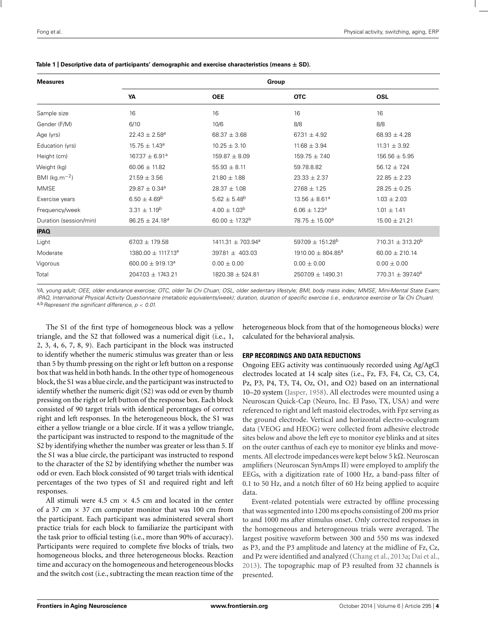| <b>Measures</b>        | Group                              |                                   |                              |                                  |
|------------------------|------------------------------------|-----------------------------------|------------------------------|----------------------------------|
|                        | YA                                 | <b>OEE</b>                        | <b>OTC</b>                   | <b>OSL</b>                       |
| Sample size            | 16                                 | 16                                | 16                           | 16                               |
| Gender (F/M)           | 6/10                               | 10/6                              | 8/8                          | 8/8                              |
| Age (yrs)              | $22.43 \pm 2.58^a$                 | $68.37 \pm 3.68$                  | 67.31 $\pm$ 4.92             | $68.93 \pm 4.28$                 |
| Education (yrs)        | $15.75 \pm 1.43^a$                 | $10.25 \pm 3.10$                  | $11.68 \pm 3.94$             | $11.31 \pm 3.92$                 |
| Height (cm)            | $167.37 \pm 6.91^a$                | $159.87 \pm 8.09$                 | $159.75 \pm 7.40$            | $156.56 \pm 5.95$                |
| Weight (kg)            | $60.06 \pm 11.82$                  | $55.93 \pm 8.11$                  | 59.78.8.82                   | $56.12 \pm 7.24$                 |
| BMI ( $kg.m^{-2}$ )    | $21.59 \pm 3.56$                   | $21.80 \pm 1.88$                  | $23.33 \pm 2.37$             | $22.85 \pm 2.23$                 |
| <b>MMSE</b>            | $29.87 \pm 0.34$ <sup>a</sup>      | $28.37 \pm 1.08$                  | $27.68 \pm 1.25$             | $28.25 \pm 0.25$                 |
| Exercise years         | $6.50 \pm 4.69^b$                  | $5.62 \pm 5.48$ <sup>b</sup>      | $13.56 \pm 8.61^a$           | $1.03 \pm 2.03$                  |
| Frequency/week         | $3.31 \pm 1.19^b$                  | $4.00 \pm 1.03^b$                 | $6.06 \pm 1.23^a$            | $1.01 \pm 1.41$                  |
| Duration (session/min) | $86.25 \pm 24.18^a$                | 60.00 $\pm$ 17.32 <sup>b</sup>    | 78.75 ± 15.00 <sup>a</sup>   | $15.00 \pm 21.21$                |
| <b>IPAQ</b>            |                                    |                                   |                              |                                  |
| Light                  | $67.03 \pm 179.58$                 | $1411.31 \pm 703.94$ <sup>a</sup> | $597.09 \pm 151.28^{\circ}$  | 710.31 $\pm$ 313.20 <sup>b</sup> |
| Moderate               | 1380.00 $\pm$ 1117.13 <sup>a</sup> | 397.81 ± 403.03                   | $1910.00 \pm 804.85^{\circ}$ | $60.00 \pm 210.14$               |
| Vigorous               | 600.00 $\pm$ 919.13 <sup>a</sup>   | $0.00 \pm 0.00$                   | $0.00 \pm 0.00$              | $0.00 \pm 0.00$                  |
| Total                  | $2047.03 \pm 1743.21$              | $1820.38 \pm 524.81$              | 2507.09 ± 1490.31            | 770.31 $\pm$ 397.40 <sup>a</sup> |

<span id="page-3-0"></span>

|  | Table 1   Descriptive data of participants' demographic and exercise characteristics (means $\pm$ SD). |  |
|--|--------------------------------------------------------------------------------------------------------|--|
|--|--------------------------------------------------------------------------------------------------------|--|

YA, young adult; OEE, older endurance exercise; OTC, older Tai Chi Chuan; OSL, older sedentary lifestyle; BMI, body mass index; MMSE, Mini-Mental State Exam; IPAQ, International Physical Activity Questionnaire (metabolic equivalents/week); duration, duration of specific exercise (i.e., endurance exercise or Tai Chi Chuan). a,b Represent the significant difference,  $p < 0.01$ .

The S1 of the first type of homogeneous block was a yellow triangle, and the S2 that followed was a numerical digit (i.e., 1, 2, 3, 4, 6, 7, 8, 9). Each participant in the block was instructed to identify whether the numeric stimulus was greater than or less than 5 by thumb pressing on the right or left button on a response box that was held in both hands. In the other type of homogeneous block, the S1 was a blue circle, and the participant was instructed to identify whether the numeric digit (S2) was odd or even by thumb pressing on the right or left button of the response box. Each block consisted of 90 target trials with identical percentages of correct right and left responses. In the heterogeneous block, the S1 was either a yellow triangle or a blue circle. If it was a yellow triangle, the participant was instructed to respond to the magnitude of the S2 by identifying whether the number was greater or less than 5. If the S1 was a blue circle, the participant was instructed to respond to the character of the S2 by identifying whether the number was odd or even. Each block consisted of 90 target trials with identical percentages of the two types of S1 and required right and left responses.

All stimuli were 4.5 cm  $\times$  4.5 cm and located in the center of a 37 cm  $\times$  37 cm computer monitor that was 100 cm from the participant. Each participant was administered several short practice trials for each block to familiarize the participant with the task prior to official testing (i.e., more than 90% of accuracy). Participants were required to complete five blocks of trials, two homogeneous blocks, and three heterogeneous blocks. Reaction time and accuracy on the homogeneous and heterogeneous blocks and the switch cost (i.e., subtracting the mean reaction time of the heterogeneous block from that of the homogeneous blocks) were calculated for the behavioral analysis.

## **ERP RECORDINGS AND DATA REDUCTIONS**

Ongoing EEG activity was continuously recorded using Ag/AgCl electrodes located at 14 scalp sites (i.e., Fz, F3, F4, Cz, C3, C4, Pz, P3, P4, T3, T4, Oz, O1, and O2) based on an international 10–20 system [\(Jasper, 1958\)](#page-9-0). All electrodes were mounted using a Neuroscan Quick-Cap (Neuro, Inc. El Paso, TX, USA) and were referenced to right and left mastoid electrodes, with Fpz serving as the ground electrode. Vertical and horizontal electro-oculogram data (VEOG and HEOG) were collected from adhesive electrode sites below and above the left eye to monitor eye blinks and at sites on the outer canthus of each eye to monitor eye blinks and movements. All electrode impedances were kept below 5 k $\Omega$ . Neuroscan amplifiers (Neuroscan SynAmps II) were employed to amplify the EEGs, with a digitization rate of 1000 Hz, a band-pass filter of 0.1 to 50 Hz, and a notch filter of 60 Hz being applied to acquire data.

Event-related potentials were extracted by offline processing that was segmented into 1200 ms epochs consisting of 200 ms prior to and 1000 ms after stimulus onset. Only corrected responses in the homogeneous and heterogeneous trials were averaged. The largest positive waveform between 300 and 550 ms was indexed as P3, and the P3 amplitude and latency at the midline of Fz, Cz, and Pz were identified and analyzed [\(Chang et al.](#page-8-0), [2013a](#page-8-0); [Dai et al.,](#page-9-0) [2013](#page-9-0)). The topographic map of P3 resulted from 32 channels is presented.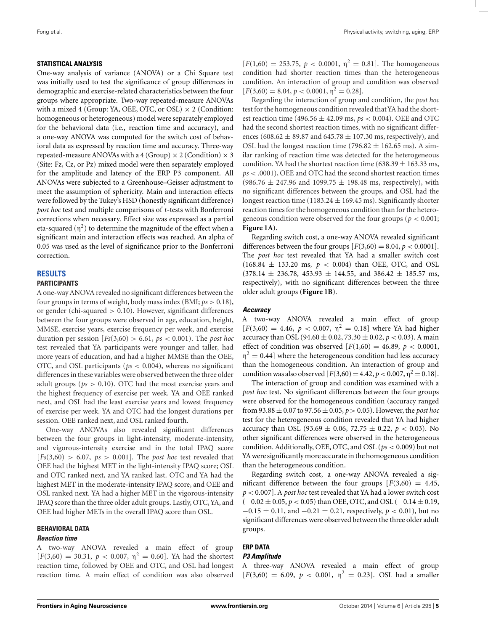#### **STATISTICAL ANALYSIS**

One-way analysis of variance (ANOVA) or a Chi Square test was initially used to test the significance of group differences in demographic and exercise-related characteristics between the four groups where appropriate. Two-way repeated-measure ANOVAs with a mixed 4 (Group: YA, OEE, OTC, or OSL)  $\times$  2 (Condition: homogeneous or heterogeneous) model were separately employed for the behavioral data (i.e., reaction time and accuracy), and a one-way ANOVA was computed for the switch cost of behavioral data as expressed by reaction time and accuracy. Three-way repeated-measure ANOVAs with a 4 (Group)  $\times$  2 (Condition)  $\times$  3 (Site: Fz, Cz, or Pz) mixed model were then separately employed for the amplitude and latency of the ERP P3 component. All ANOVAs were subjected to a Greenhouse–Geisser adjustment to meet the assumption of sphericity. Main and interaction effects were followed by the Tukey's HSD (honestly significant difference) *post hoc* test and multiple comparisons of *t*-tests with Bonferroni corrections when necessary. Effect size was expressed as a partial eta-squared  $(\eta^2)$  to determine the magnitude of the effect when a significant main and interaction effects was reached. An alpha of 0.05 was used as the level of significance prior to the Bonferroni correction.

## **RESULTS**

## **PARTICIPANTS**

A one-way ANOVA revealed no significant differences between the four groups in terms of weight, body mass index (BMI; *ps* > 0.18), or gender (chi-squared  $> 0.10$ ). However, significant differences between the four groups were observed in age, education, height, MMSE, exercise years, exercise frequency per week, and exercise duration per session [*Fs*(3,60) > 6.61, *ps* < 0.001). The *post hoc* test revealed that YA participants were younger and taller, had more years of education, and had a higher MMSE than the OEE, OTC, and OSL participants (*ps* < 0.004), whereas no significant differences in these variables were observed between the three older adult groups (*ps* > 0.10). OTC had the most exercise years and the highest frequency of exercise per week. YA and OEE ranked next, and OSL had the least exercise years and lowest frequency of exercise per week. YA and OTC had the longest durations per session. OEE ranked next, and OSL ranked fourth.

One-way ANOVAs also revealed significant differences between the four groups in light-intensity, moderate-intensity, and vigorous-intensity exercise and in the total IPAQ score  $[Fs(3,60) > 6.07, ps > 0.001]$ . The *post hoc* test revealed that OEE had the highest MET in the light-intensity IPAQ score; OSL and OTC ranked next, and YA ranked last. OTC and YA had the highest MET in the moderate-intensity IPAQ score, and OEE and OSL ranked next. YA had a higher MET in the vigorous-intensity IPAQ score than the three older adult groups. Lastly, OTC, YA, and OEE had higher METs in the overall IPAQ score than OSL.

## **BEHAVIORAL DATA**

#### *Reaction time*

A two-way ANOVA revealed a main effect of group  $[F(3,60) = 30.31, p < 0.007, \eta^2 = 0.60]$ . YA had the shortest reaction time, followed by OEE and OTC, and OSL had longest reaction time. A main effect of condition was also observed  $[F(1,60) = 253.75, p < 0.0001, \eta^2 = 0.81]$ . The homogeneous condition had shorter reaction times than the heterogeneous condition. An interaction of group and condition was observed  $[F(3,60) = 8.04, p < 0.0001, \eta^2 = 0.28].$ 

Regarding the interaction of group and condition, the *post hoc* test for the homogeneous condition revealed thatYA had the shortest reaction time (496.56 ± 42.09 ms, *ps* < 0.004). OEE and OTC had the second shortest reaction times, with no significant differences (608.62  $\pm$  89.87 and 645.78  $\pm$  107.30 ms, respectively), and OSL had the longest reaction time (796.82  $\pm$  162.65 ms). A similar ranking of reaction time was detected for the heterogeneous condition. YA had the shortest reaction time (638.39  $\pm$  163.33 ms, *ps* < .0001), OEE and OTC had the second shortest reaction times  $(986.76 \pm 247.96 \text{ and } 1099.75 \pm 198.48 \text{ ms}, \text{ respectively})$ , with no significant differences between the groups, and OSL had the longest reaction time (1183.24  $\pm$  169.45 ms). Significantly shorter reaction times for the homogeneous condition than for the heterogeneous condition were observed for the four groups ( $p < 0.001$ ; **[Figure 1A](#page-5-0)**).

Regarding switch cost, a one-way ANOVA revealed significant differences between the four groups  $[F(3,60) = 8.04, p < 0.0001]$ . The *post hoc* test revealed that YA had a smaller switch cost  $(168.84 \pm 133.20 \text{ ms}, p < 0.004)$  than OEE, OTC, and OSL  $(378.14 \pm 236.78, 453.93 \pm 144.55,$  and  $386.42 \pm 185.57$  ms, respectively), with no significant differences between the three older adult groups (**[Figure 1B](#page-5-0)**).

#### *Accuracy*

A two-way ANOVA revealed a main effect of group  $[F(3,60) = 4.46, p < 0.007, \eta^2 = 0.18]$  where YA had higher accuracy than OSL (94.60  $\pm$  0.02, 73.30  $\pm$  0.02,  $p$  < 0.03). A main effect of condition was observed  $[F(1,60) = 46.89, p < 0.0001,$  $\eta^2 = 0.44$ ] where the heterogeneous condition had less accuracy than the homogeneous condition. An interaction of group and condition was also observed  $[F(3,60) = 4.42, p < 0.007, \eta^2 = 0.18]$ .

The interaction of group and condition was examined with a *post hoc* test. No significant differences between the four groups were observed for the homogeneous condition (accuracy ranged from 93.88 ± 0.07 to 97.56 ± 0.05, *p* > 0.05). However, the *post hoc* test for the heterogeneous condition revealed that YA had higher accuracy than OSL (93.69  $\pm$  0.06, 72.75  $\pm$  0.22,  $p < 0.03$ ). No other significant differences were observed in the heterogeneous condition. Additionally, OEE, OTC, and OSL (*ps* < 0.009) but not YA were significantly more accurate in the homogeneous condition than the heterogeneous condition.

Regarding switch cost, a one-way ANOVA revealed a significant difference between the four groups  $[F(3,60) = 4.45,$ *p* < 0.007]. A *post hoc* test revealed that YA had a lower switch cost (−0.02 ± 0.05, *p* < 0.05) than OEE, OTC, and OSL (−0.14 ± 0.19, −0.15 ± 0.11, and −0.21 ± 0.21, respectively, *p* < 0.01), but no significant differences were observed between the three older adult groups.

# **ERP DATA**

## *P3 Amplitude*

A three-way ANOVA revealed a main effect of group  $[F(3,60) = 6.09, p < 0.001, \eta^2 = 0.23]$ . OSL had a smaller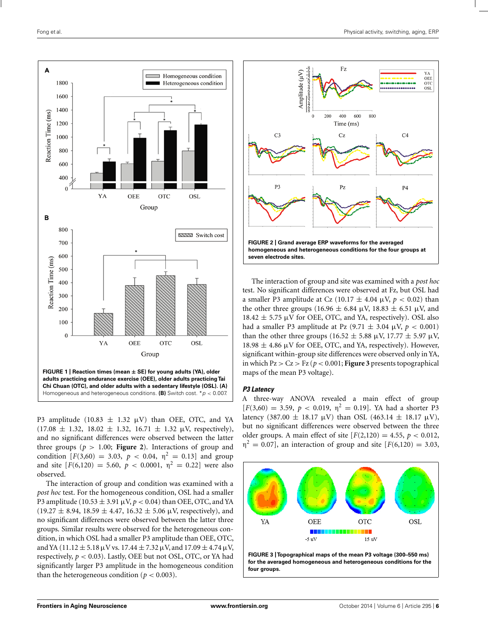<span id="page-5-0"></span>

P3 amplitude (10.83  $\pm$  1.32  $\mu$ V) than OEE, OTC, and YA  $(17.08 \pm 1.32, 18.02 \pm 1.32, 16.71 \pm 1.32 \mu V$ , respectively), and no significant differences were observed between the latter three groups ( $p > 1.00$ ; **Figure 2**). Interactions of group and condition  $[F(3,60) = 3.03, p < 0.04, \eta^2 = 0.13]$  and group and site  $[F(6,120) = 5.60, p < 0.0001, \eta^2 = 0.22]$  were also observed.

The interaction of group and condition was examined with a *post hoc* test. For the homogeneous condition, OSL had a smaller P3 amplitude (10.53  $\pm$  3.91  $\mu$ V,  $p$  < 0.04) than OEE, OTC, and YA  $(19.27 \pm 8.94, 18.59 \pm 4.47, 16.32 \pm 5.06 \,\mu\text{V}$ , respectively), and no significant differences were observed between the latter three groups. Similar results were observed for the heterogeneous condition, in which OSL had a smaller P3 amplitude than OEE, OTC, and YA (11.12  $\pm$  5.18  $\mu$ V vs. 17.44  $\pm$  7.32  $\mu$ V, and 17.09  $\pm$  4.74  $\mu$ V, respectively,  $p < 0.03$ ). Lastly, OEE but not OSL, OTC, or YA had significantly larger P3 amplitude in the homogeneous condition than the heterogeneous condition ( $p < 0.003$ ).



The interaction of group and site was examined with a *post hoc* test. No significant differences were observed at Fz, but OSL had a smaller P3 amplitude at Cz  $(10.17 \pm 4.04 \,\mu\text{V}, p < 0.02)$  than the other three groups (16.96  $\pm$  6.84  $\mu$ V, 18.83  $\pm$  6.51  $\mu$ V, and  $18.42 \pm 5.75 \mu V$  for OEE, OTC, and YA, respectively). OSL also had a smaller P3 amplitude at Pz  $(9.71 \pm 3.04 \,\mu\text{V}, p < 0.001)$ than the other three groups (16.52  $\pm$  5.88 μV, 17.77  $\pm$  5.97 μV,  $18.98 \pm 4.86$   $\mu$ V for OEE, OTC, and YA, respectively). However, significant within-group site differences were observed only in YA, in which  $Pz > Cz > Fz$  ( $p < 0.001$ ; **Figure 3** presents topographical maps of the mean P3 voltage).

## *P3 Latency*

A three-way ANOVA revealed a main effect of group  $[F(3,60) = 3.59, p < 0.019, \eta^2 = 0.19]$ . YA had a shorter P3 latency (387.00  $\pm$  18.17  $\mu$ V) than OSL (463.14  $\pm$  18.17  $\mu$ V), but no significant differences were observed between the three older groups. A main effect of site  $[F(2,120) = 4.55, p < 0.012,$  $\eta^2 = 0.07$ , an interaction of group and site  $F(6,120) = 3.03$ ,



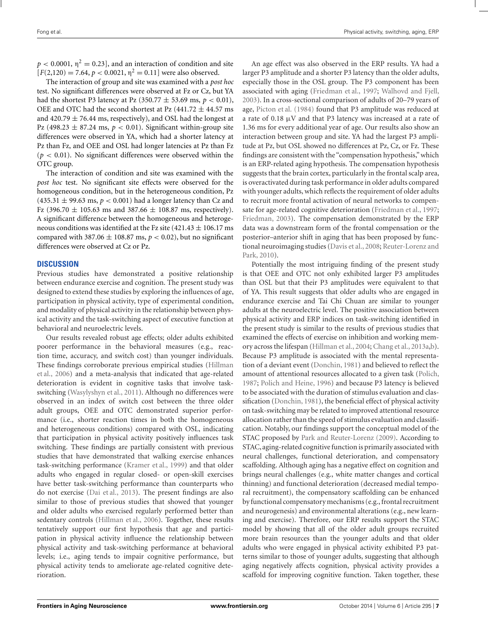$p < 0.0001$ ,  $\eta^2 = 0.23$ , and an interaction of condition and site  $[F(2,120) = 7.64, p < 0.0021, \eta^2 = 0.11]$  were also observed.

The interaction of group and site was examined with a *post hoc* test. No significant differences were observed at Fz or Cz, but YA had the shortest P3 latency at Pz  $(350.77 \pm 53.69 \text{ ms}, p < 0.01)$ , OEE and OTC had the second shortest at Pz  $(441.72 \pm 44.57 \text{ ms})$ and 420.79  $\pm$  76.44 ms, respectively), and OSL had the longest at Pz (498.23  $\pm$  87.24 ms,  $p < 0.01$ ). Significant within-group site differences were observed in YA, which had a shorter latency at Pz than Fz, and OEE and OSL had longer latencies at Pz than Fz  $(p < 0.01)$ . No significant differences were observed within the OTC group.

The interaction of condition and site was examined with the *post hoc* test. No significant site effects were observed for the homogeneous condition, but in the heterogeneous condition, Pz (435.31  $\pm$  99.63 ms,  $p < 0.001$ ) had a longer latency than Cz and Fz (396.70  $\pm$  105.63 ms and 387.66  $\pm$  108.87 ms, respectively). A significant difference between the homogeneous and heterogeneous conditions was identified at the Fz site  $(421.43 \pm 106.17 \text{ ms})$ compared with  $387.06 \pm 108.87$  ms,  $p < 0.02$ ), but no significant differences were observed at Cz or Pz.

## **DISCUSSION**

Previous studies have demonstrated a positive relationship between endurance exercise and cognition. The present study was designed to extend these studies by exploring the influences of age, participation in physical activity, type of experimental condition, and modality of physical activity in the relationship between physical activity and the task-switching aspect of executive function at behavioral and neuroelectric levels.

Our results revealed robust age effects; older adults exhibited poorer performance in the behavioral measures (e.g., reaction time, accuracy, and switch cost) than younger individuals. The[se findings corroborate previous empirical studies \(](#page-9-0)Hillman et al., [2006](#page-9-0)) and a meta-analysis that indicated that age-related deterioration is evident in cognitive tasks that involve taskswitching [\(Wasylyshyn et al., 2011](#page-10-0)). Although no differences were observed in an index of switch cost between the three older adult groups, OEE and OTC demonstrated superior performance (i.e., shorter reaction times in both the homogeneous and heterogeneous conditions) compared with OSL, indicating that participation in physical activity positively influences task switching. These findings are partially consistent with previous studies that have demonstrated that walking exercise enhances task-switching performance [\(Kramer et al.](#page-9-0), [1999\)](#page-9-0) and that older adults who engaged in regular closed- or open-skill exercises have better task-switching performance than counterparts who do not exercise [\(Dai et al.](#page-9-0), [2013\)](#page-9-0). The present findings are also similar to those of previous studies that showed that younger and older adults who exercised regularly performed better than sedentary controls [\(Hillman et al.](#page-9-0), [2006\)](#page-9-0). Together, these results tentatively support our first hypothesis that age and participation in physical activity influence the relationship between physical activity and task-switching performance at behavioral levels; i.e., aging tends to impair cognitive performance, but physical activity tends to ameliorate age-related cognitive deterioration.

An age effect was also observed in the ERP results. YA had a larger P3 amplitude and a shorter P3 latency than the older adults, especially those in the OSL group. The P3 component has been associated with aging [\(Friedman et al.](#page-9-0), [1997](#page-9-0); [Walhovd and Fjell,](#page-10-0) [2003](#page-10-0)). In a cross-sectional comparison of adults of 20–79 years of age, [Picton et al.](#page-9-0) [\(1984\)](#page-9-0) found that P3 amplitude was reduced at a rate of 0.18 μV and that P3 latency was increased at a rate of 1.36 ms for every additional year of age. Our results also show an interaction between group and site. YA had the largest P3 amplitude at Pz, but OSL showed no differences at Pz, Cz, or Fz. These findings are consistent with the "compensation hypothesis," which is an ERP-related aging hypothesis. The compensation hypothesis suggests that the brain cortex, particularly in the frontal scalp area, is overactivated during task performance in older adults compared with younger adults, which reflects the requirement of older adults to recruit more frontal activation of neural networks to compensate for age-related cognitive deterioration [\(Friedman et al.](#page-9-0), [1997;](#page-9-0) [Friedman](#page-9-0), [2003\)](#page-9-0). The compensation demonstrated by the ERP data was a downstream form of the frontal compensation or the posterior–anterior shift in aging that has been proposed by function[al neuroimaging studies](#page-10-0) [\(Davis et al., 2008;](#page-9-0) Reuter-Lorenz and Park, [2010\)](#page-10-0).

Potentially the most intriguing finding of the present study is that OEE and OTC not only exhibited larger P3 amplitudes than OSL but that their P3 amplitudes were equivalent to that of YA. This result suggests that older adults who are engaged in endurance exercise and Tai Chi Chuan are similar to younger adults at the neuroelectric level. The positive association between physical activity and ERP indices on task-switching identified in the present study is similar to the results of previous studies that examined the effects of exercise on inhibition and working memory across the lifespan [\(Hillman et al.](#page-9-0), [2004](#page-9-0); [Chang et al.](#page-8-0), [2013a,b](#page-8-0)). Because P3 amplitude is associated with the mental representation of a deviant event [\(Donchin](#page-9-0), [1981](#page-9-0)) and believed to reflect the amount of attentional resources allocated to a given task [\(Polich,](#page-9-0) [1987](#page-9-0); [Polich and Heine, 1996](#page-9-0)) and because P3 latency is believed to be associated with the duration of stimulus evaluation and classification [\(Donchin, 1981\)](#page-9-0), the beneficial effect of physical activity on task-switching may be related to improved attentional resource allocation rather than the speed of stimulus evaluation and classification. Notably, our findings support the conceptual model of the STAC proposed by [Park and Reuter-Lorenz](#page-9-0) [\(2009](#page-9-0)). According to STAC, aging-related cognitive function is primarily associated with neural challenges, functional deterioration, and compensatory scaffolding. Although aging has a negative effect on cognition and brings neural challenges (e.g., white matter changes and cortical thinning) and functional deterioration (decreased medial temporal recruitment), the compensatory scaffolding can be enhanced by functional compensatory mechanisms (e.g., frontal recruitment and neurogenesis) and environmental alterations (e.g., new learning and exercise). Therefore, our ERP results support the STAC model by showing that all of the older adult groups recruited more brain resources than the younger adults and that older adults who were engaged in physical activity exhibited P3 patterns similar to those of younger adults, suggesting that although aging negatively affects cognition, physical activity provides a scaffold for improving cognitive function. Taken together, these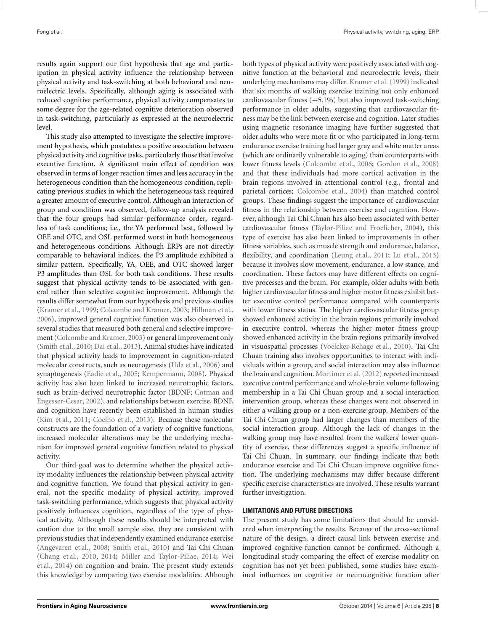results again support our first hypothesis that age and participation in physical activity influence the relationship between physical activity and task-switching at both behavioral and neuroelectric levels. Specifically, although aging is associated with reduced cognitive performance, physical activity compensates to some degree for the age-related cognitive deterioration observed in task-switching, particularly as expressed at the neuroelectric level.

This study also attempted to investigate the selective improvement hypothesis, which postulates a positive association between physical activity and cognitive tasks, particularly those that involve executive function. A significant main effect of condition was observed in terms of longer reaction times and less accuracy in the heterogeneous condition than the homogeneous condition, replicating previous studies in which the heterogeneous task required a greater amount of executive control. Although an interaction of group and condition was observed, follow-up analysis revealed that the four groups had similar performance order, regardless of task conditions; i.e., the YA performed best, followed by OEE and OTC, and OSL performed worst in both homogeneous and heterogeneous conditions. Although ERPs are not directly comparable to behavioral indices, the P3 amplitude exhibited a similar pattern. Specifically, YA, OEE, and OTC showed larger P3 amplitudes than OSL for both task conditions. These results suggest that physical activity tends to be associated with general rather than selective cognitive improvement. Although the results differ somewhat from our hypothesis and previous studies [\(Kramer et al.](#page-9-0), [1999](#page-9-0); [Colcombe and Kramer, 2003](#page-8-0); [Hillman et al.,](#page-9-0) [2006\)](#page-9-0), improved general cognitive function was also observed in several studies that measured both general and selective improvement [\(Colcombe and Kramer, 2003\)](#page-8-0) or general improvement only [\(Smith et al., 2010;](#page-10-0) [Dai et al., 2013](#page-9-0)). Animal studies have indicated that physical activity leads to improvement in cognition-related molecular constructs, such as neurogenesis [\(Uda et al.](#page-10-0), [2006\)](#page-10-0) and synaptogenesis [\(Eadie et al., 2005;](#page-9-0) [Kempermann](#page-9-0), [2008](#page-9-0)). Physical activity has also been linked to increased neurotrophic factors, such as brain-[derived neurotrophic factor \(BDNF;](#page-8-0) Cotman and Engesser-Cesar, [2002\)](#page-8-0), and relationships between exercise, BDNF, and cognition have recently been established in human studies [\(Kim et al.](#page-9-0), [2011;](#page-9-0) [Coelho et al.](#page-8-0), [2013\)](#page-8-0). Because these molecular constructs are the foundation of a variety of cognitive functions, increased molecular alterations may be the underlying mechanism for improved general cognitive function related to physical activity.

Our third goal was to determine whether the physical activity modality influences the relationship between physical activity and cognitive function. We found that physical activity in general, not the specific modality of physical activity, improved task-switching performance, which suggests that physical activity positively influences cognition, regardless of the type of physical activity. Although these results should be interpreted with caution due to the small sample size, they are consistent with previous studies that independently examined endurance exercise [\(Angevaren et al.](#page-8-0), [2008](#page-8-0); [Smith et al., 2010](#page-10-0)) and Tai Chi Chuan [\(Chang et al.](#page-8-0), [2010,](#page-8-0) [2014](#page-8-0); [Miller and Taylor-Piliae, 2014](#page-9-0)[;](#page-10-0) Wei et al., [2014](#page-10-0)) on cognition and brain. The present study extends this knowledge by comparing two exercise modalities. Although both types of physical activity were positively associated with cognitive function at the behavioral and neuroelectric levels, their underlying mechanisms may differ. [Kramer et al.](#page-9-0) [\(1999](#page-9-0)) indicated that six months of walking exercise training not only enhanced cardiovascular fitness  $(+5.1\%)$  but also improved task-switching performance in older adults, suggesting that cardiovascular fitness may be the link between exercise and cognition. Later studies using magnetic resonance imaging have further suggested that older adults who were more fit or who participated in long-term endurance exercise training had larger gray and white matter areas (which are ordinarily vulnerable to aging) than counterparts with lower fitness levels [\(Colcombe et al.](#page-8-0), [2006;](#page-8-0) [Gordon et al., 2008](#page-9-0)) and that these individuals had more cortical activation in the brain regions involved in attentional control (e.g., frontal and parietal cortices; [Colcombe et al.](#page-8-0), [2004\)](#page-8-0) than matched control groups. These findings suggest the importance of cardiovascular fitness in the relationship between exercise and cognition. However, although Tai Chi Chuan has also been associated with better cardiovascular fitness [\(Taylor-Piliae and Froelicher, 2004\)](#page-10-0), this type of exercise has also been linked to improvements in other fitness variables, such as muscle strength and endurance, balance, flexibility, and coordination [\(Leung et al.](#page-9-0), [2011](#page-9-0); [Lu et al., 2013](#page-9-0)) because it involves slow movement, endurance, a low stance, and coordination. These factors may have different effects on cognitive processes and the brain. For example, older adults with both higher cardiovascular fitness and higher motor fitness exhibit better executive control performance compared with counterparts with lower fitness status. The higher cardiovascular fitness group showed enhanced activity in the brain regions primarily involved in executive control, whereas the higher motor fitness group showed enhanced activity in the brain regions primarily involved in visuospatial processes [\(Voelcker-Rehage et al., 2010](#page-10-0)). Tai Chi Chuan training also involves opportunities to interact with individuals within a group, and social interaction may also influence the brain and cognition. [Mortimer et al.](#page-9-0) [\(2012\)](#page-9-0) reported increased executive control performance and whole-brain volume following membership in a Tai Chi Chuan group and a social interaction intervention group, whereas these changes were not observed in either a walking group or a non-exercise group. Members of the Tai Chi Chuan group had larger changes than members of the social interaction group. Although the lack of changes in the walking group may have resulted from the walkers' lower quantity of exercise, these differences suggest a specific influence of Tai Chi Chuan. In summary, our findings indicate that both endurance exercise and Tai Chi Chuan improve cognitive function. The underlying mechanisms may differ because different specific exercise characteristics are involved. These results warrant further investigation.

# **LIMITATIONS AND FUTURE DIRECTIONS**

The present study has some limitations that should be considered when interpreting the results. Because of the cross-sectional nature of the design, a direct causal link between exercise and improved cognitive function cannot be confirmed. Although a longitudinal study comparing the effect of exercise modality on cognition has not yet been published, some studies have examined influences on cognitive or neurocognitive function after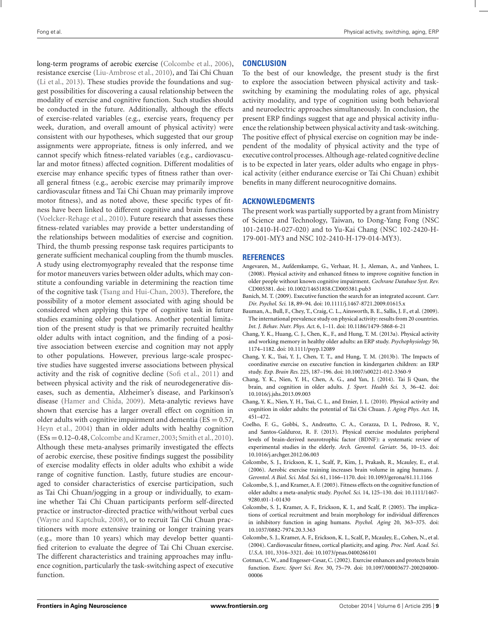<span id="page-8-0"></span>long-term programs of aerobic exercise (Colcombe et al., 2006), resistance exercise [\(Liu-Ambrose et al.](#page-9-0), [2010\)](#page-9-0), and Tai Chi Chuan [\(Li et al., 2013\)](#page-9-0). These studies provide the foundations and suggest possibilities for discovering a causal relationship between the modality of exercise and cognitive function. Such studies should be conducted in the future. Additionally, although the effects of exercise-related variables (e.g., exercise years, frequency per week, duration, and overall amount of physical activity) were consistent with our hypotheses, which suggested that our group assignments were appropriate, fitness is only inferred, and we cannot specify which fitness-related variables (e.g., cardiovascular and motor fitness) affected cognition. Different modalities of exercise may enhance specific types of fitness rather than overall general fitness (e.g., aerobic exercise may primarily improve cardiovascular fitness and Tai Chi Chuan may primarily improve motor fitness), and as noted above, these specific types of fitness have been linked to different cognitive and brain functions [\(Voelcker-Rehage et al.](#page-10-0), [2010\)](#page-10-0). Future research that assesses these fitness-related variables may provide a better understanding of the relationships between modalities of exercise and cognition. Third, the thumb pressing response task requires participants to generate sufficient mechanical coupling from the thumb muscles. A study using electromyography revealed that the response time for motor maneuvers varies between older adults, which may constitute a confounding variable in determining the reaction time of the cognitive task [\(Tsang and Hui-Chan](#page-10-0), [2003](#page-10-0)). Therefore, the possibility of a motor element associated with aging should be considered when applying this type of cognitive task in future studies examining older populations. Another potential limitation of the present study is that we primarily recruited healthy older adults with intact cognition, and the finding of a positive association between exercise and cognition may not apply to other populations. However, previous large-scale prospective studies have suggested inverse associations between physical activity and the risk of cognitive decline [\(Sofi et al., 2011\)](#page-10-0) and between physical activity and the risk of neurodegenerative diseases, such as dementia, Alzheimer's disease, and Parkinson's disease [\(Hamer and Chida](#page-9-0), [2009](#page-9-0)). Meta-analytic reviews have shown that exercise has a larger overall effect on cognition in older adults with cognitive impairment and dementia ( $ES = 0.57$ , [Heyn et al.](#page-9-0), [2004](#page-9-0)) than in older adults with healthy cognition (ESs=0.12–0.48,Colcombe and Kramer, 2003; [Smith et al., 2010](#page-10-0)). Although these meta-analyses primarily investigated the effects of aerobic exercise, these positive findings suggest the possibility of exercise modality effects in older adults who exhibit a wide range of cognitive function. Lastly, future studies are encouraged to consider characteristics of exercise participation, such as Tai Chi Chuan/jogging in a group or individually, to examine whether Tai Chi Chuan participants perform self-directed practice or instructor-directed practice with/without verbal cues [\(Wayne and Kaptchuk, 2008\)](#page-10-0), or to recruit Tai Chi Chuan practitioners with more extensive training or longer training years (e.g., more than 10 years) which may develop better quantified criterion to evaluate the degree of Tai Chi Chuan exercise. The different characteristics and training approaches may influence cognition, particularly the task-switching aspect of executive function.

## **CONCLUSION**

To the best of our knowledge, the present study is the first to explore the association between physical activity and taskswitching by examining the modulating roles of age, physical activity modality, and type of cognition using both behavioral and neuroelectric approaches simultaneously. In conclusion, the present ERP findings suggest that age and physical activity influence the relationship between physical activity and task-switching. The positive effect of physical exercise on cognition may be independent of the modality of physical activity and the type of executive control processes. Although age-related cognitive decline is to be expected in later years, older adults who engage in physical activity (either endurance exercise or Tai Chi Chuan) exhibit benefits in many different neurocognitive domains.

## **ACKNOWLEDGMENTS**

The present work was partially supported by a grant from Ministry of Science and Technology, Taiwan, to Dong-Yang Fong (NSC 101-2410-H-027-020) and to Yu-Kai Chang (NSC 102-2420-H-179-001-MY3 and NSC 102-2410-H-179-014-MY3).

## **REFERENCES**

- Angevaren, M., Aufdemkampe, G., Verhaar, H. J., Aleman, A., and Vanhees, L. (2008). Physical activity and enhanced fitness to improve cognitive function in older people without known cognitive impairment. *Cochrane Database Syst. Rev.* CD005381. doi: 10.1002/14651858.CD005381.pub3
- Banich, M. T. (2009). Executive function the search for an integrated account. *Curr. Dir. Psychol. Sci.* 18, 89–94. doi: 10.1111/j.1467-8721.2009.01615.x
- Bauman, A., Bull, F., Chey, T., Craig, C. L., Ainsworth, B. E., Sallis, J. F., et al. (2009). The international prevalence study on physical activity: results from 20 countries. *Int. J. Behav. Nutr. Phys. Act.* 6, 1–11. doi: 10.1186/1479-5868-6-21
- Chang, Y. K., Huang, C. J., Chen, K., F., and Hung, T. M. (2013a). Physical activity and working memory in healthy older adults: an ERP study. *Psychophysiology* 50, 1174–1182. doi: 10.1111/psyp.12089
- Chang, Y. K., Tsai, Y. J., Chen, T. T., and Hung, T. M. (2013b). The Impacts of coordinative exercise on executive function in kindergarten children: an ERP study. *Exp. Brain Res.* 225, 187–196. doi: 10.1007/s00221-012-3360-9
- Chang, Y. K., Nien, Y. H., Chen, A. G., and Yan, J. (2014). Tai Ji Quan, the brain, and cognition in older adults. *J. Sport. Health Sci.* 3, 36–42. doi: 10.1016/j.jshs.2013.09.003
- Chang, Y. K., Nien, Y. H., Tsai, C. L., and Etnier, J. L. (2010). Physical activity and cognition in older adults: the potential of Tai Chi Chuan. *J. Aging Phys. Act.* 18, 451–472.
- Coelho, F. G., Gobbi, S., Andreatto, C. A., Corazza, D. I., Pedroso, R. V., and Santos-Galduroz, R. F. (2013). Physical exercise modulates peripheral levels of brain-derived neurotrophic factor (BDNF): a systematic review of experimental studies in the elderly. *Arch. Gerontol. Geriatr.* 56, 10–15. doi: 10.1016/j.archger.2012.06.003
- Colcombe, S. J., Erickson, K. I., Scalf, P., Kim, J., Prakash, R., Mcauley, E., et al. (2006). Aerobic exercise training increases brain volume in aging humans. *J. Gerontol. A Biol. Sci. Med. Sci*. 61, 1166–1170. doi: 10.1093/gerona/61.11.1166
- Colcombe, S. J., and Kramer, A. F. (2003). Fitness effects on the cognitive function of older adults: a meta-analytic study. *Psychol. Sci.* 14, 125–130. doi: 10.1111/1467- 9280.t01-1-01430
- Colcombe, S. J., Kramer, A. F., Erickson, K. I., and Scalf, P. (2005). The implications of cortical recruitment and brain morphology for individual differences in inhibitory function in aging humans. *Psychol. Aging* 20, 363–375. doi: 10.1037/0882-7974.20.3.363
- Colcombe, S. J., Kramer, A. F., Erickson, K. I., Scalf, P., Mcauley, E., Cohen, N., et al. (2004). Cardiovascular fitness, cortical plasticity, and aging. *Proc. Natl. Acad. Sci. U.S.A.* 101, 3316–3321. doi: 10.1073/pnas.0400266101
- Cotman, C. W., and Engesser-Cesar, C. (2002). Exercise enhances and protects brain function. *Exerc. Sport Sci. Rev.* 30, 75–79. doi: 10.1097/00003677-200204000- 00006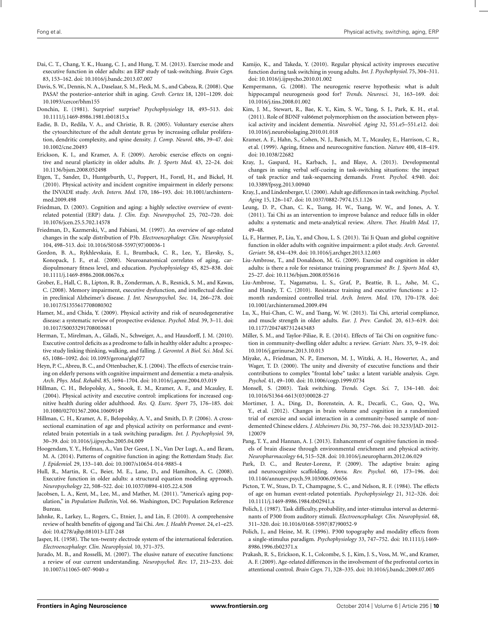- <span id="page-9-0"></span>Dai, C. T., Chang, Y. K., Huang, C. J., and Hung, T. M. (2013). Exercise mode and executive function in older adults: an ERP study of task-switching. *Brain Cogn.* 83, 153–162. doi: 10.1016/j.bandc.2013.07.007
- Davis, S. W., Dennis, N. A., Daselaar, S. M., Fleck, M. S., and Cabeza, R. (2008). Que PASA? the posterior–anterior shift in aging. *Cereb. Cortex* 18, 1201–1209. doi: 10.1093/cercor/bhm155
- Donchin, E. (1981). Surprise! surprise? *Psychophysiology* 18, 493–513. doi: 10.1111/j.1469-8986.1981.tb01815.x
- Eadie, B. D., Redila, V. A., and Christie, B. R. (2005). Voluntary exercise alters the cytoarchitecture of the adult dentate gyrus by increasing cellular proliferation, dendritic complexity, and spine density. *J. Comp. Neurol.* 486, 39–47. doi: 10.1002/cne.20493
- Erickson, K. I., and Kramer, A. F. (2009). Aerobic exercise effects on cognitive and neural plasticity in older adults. *Br. J. Sports Med*. 43, 22–24. doi: 10.1136/bjsm.2008.052498
- Etgen, T., Sander, D., Huntgeburth, U., Poppert, H., Forstl, H., and Bickel, H. (2010). Physical activity and incident cognitive impairment in elderly persons: the INVADE study*. Arch. Intern. Med.* 170, 186–193. doi: 10.1001/archinternmed.2009.498
- Friedman, D. (2003). Cognition and aging: a highly selective overview of eventrelated potential (ERP) data. *J. Clin. Exp. Neuropsychol.* 25, 702–720. doi: 10.1076/jcen.25.5.702.14578
- Friedman, D., Kazmerski, V., and Fabiani, M. (1997). An overview of age-related changes in the scalp distribution of P3b. *Electroencephalogr. Clin. Neurophysiol.* 104, 498–513. doi: 10.1016/S0168-5597(97)00036-1
- Gordon, B. A., Rykhlevskaia, E. I., Brumback, C. R., Lee, Y., Elavsky, S., Konopack, J. F., et al. (2008). Neuroanatomical correlates of aging, cardiopulmonary fitness level, and education. *Psychophysiology* 45, 825–838. doi: 10.1111/j.1469-8986.2008.00676.x
- Grober, E., Hall, C. B., Lipton, R. B., Zonderman, A. B., Resnick, S. M., and Kawas, C. (2008). Memory impairment, executive dysfunction, and intellectual decline in preclinical Alzheimer's disease. *J. Int. Neuropsychol. Soc.* 14, 266–278. doi: 10.1017/S1355617708080302
- Hamer, M., and Chida, Y. (2009). Physical activity and risk of neurodegenerative disease: a systematic review of prospective evidence. *Psychol. Med*. 39, 3–11. doi: 10.1017/S0033291708003681
- Herman, T., Mirelman, A., Giladi, N., Schweiger, A., and Hausdorff, J. M. (2010). Executive control deficits as a prodrome to falls in healthy older adults: a prospective study linking thinking, walking, and falling. *J. Gerontol. A Biol. Sci. Med. Sci.* 65, 1086–1092. doi: 10.1093/gerona/glq077
- Heyn, P. C., Abreu, B. C., and Ottenbacher, K. J. (2004). The effects of exercise training on elderly persons with cognitive impairment and dementia: a meta-analysis. *Arch. Phys. Med. Rehabil*. 85, 1694–1704. doi: 10.1016/j.apmr.2004.03.019
- Hillman, C. H., Belopolsky, A., Snook, E. M., Kramer, A. F., and Mcauley, E. (2004). Physical activity and executive control: implications for increased cognitive health during older adulthood. *Res. Q. Exerc. Sport* 75, 176–185. doi: 10.1080/02701367.2004.10609149
- Hillman, C. H., Kramer, A. F., Belopolsky, A. V., and Smith, D. P. (2006). A crosssectional examination of age and physical activity on performance and eventrelated brain potentials in a task switching paradigm. *Int. J. Psychophysiol.* 59, 30–39. doi: 10.1016/j.ijpsycho.2005.04.009
- Hoogendam, Y. Y., Hofman, A., Van Der Geest, J. N., Van Der Lugt, A., and Ikram, M. A. (2014). Patterns of cognitive function in aging: the Rotterdam Study. *Eur. J. Epidemiol.* 29, 133–140. doi: 10.1007/s10654-014-9885-4
- Hull, R., Martin, R. C., Beier, M. E., Lane, D., and Hamilton, A. C. (2008). Executive function in older adults: a structural equation modeling approach. *Neuropsychology* 22, 508–522. doi: 10.1037/0894-4105.22.4.508
- Jacobsen, L. A., Kent, M., Lee, M., and Mather, M. (2011). "America's aging population," in *Population Bulletin,* Vol. 66. Washington, DC: Population Reference Bureau.
- Jahnke, R., Larkey, L., Rogers, C., Etnier, J., and Lin, F. (2010). A comprehensive review of health benefits of qigong and Tai Chi. *Am. J. Health Promot.* 24, e1–e25. doi: 10.4278/ajhp.081013-LIT-248
- Jasper, H. (1958). The ten-twenty electrode system of the international federation. *Electroencephalogr. Clin. Neurophysiol.* 10, 371–375.
- Jurado, M. B., and Rosselli, M. (2007). The elusive nature of executive functions: a review of our current understanding. *Neuropsychol. Rev.* 17, 213–233. doi: 10.1007/s11065-007-9040-z
- Kamijo, K., and Takeda, Y. (2010). Regular physical activity improves executive function during task switching in young adults. *Int. J. Psychophysiol.* 75, 304–311. doi: 10.1016/j.ijpsycho.2010.01.002
- Kempermann, G. (2008). The neurogenic reserve hypothesis: what is adult hippocampal neurogenesis good for? *Trends*. *Neurosci.* 31, 163–169. doi: 10.1016/j.tins.2008.01.002
- Kim, J. M., Stewart, R., Bae, K. Y., Kim, S. W., Yang, S. J., Park, K. H., et al. (2011). Role of BDNF val66met polymorphism on the association between physical activity and incident dementia. *Neurobiol. Aging* 32, 551.e5–551.e12. doi: 10.1016/j.neurobiolaging.2010.01.018
- Kramer, A. F., Hahn, S., Cohen, N. J., Banich, M. T., Mcauley, E., Harrison, C. R., et al. (1999). Ageing, fitness and neurocognitive function. *Nature* 400, 418–419. doi: 10.1038/22682
- Kray, J., Gaspard, H., Karbach, J., and Blaye, A. (2013). Developmental changes in using verbal self-cueing in task-switching situations: the impact of task practice and task-sequencing demands. *Front. Psychol.* 4:940. doi: 10.3389/fpsyg.2013.00940
- Kray, J., and Lindenberger, U. (2000). Adult age differences in task switching. *Psychol. Aging* 15, 126–147. doi: 10.1037/0882-7974.15.1.126
- Leung, D. P., Chan, C. K., Tsang, H. W., Tsang, W. W., and Jones, A. Y. (2011). Tai Chi as an intervention to improve balance and reduce falls in older adults: a systematic and meta-analytical review. *Altern. Ther. Health Med*. 17, 49–48.
- Li, F., Harmer, P., Liu, Y., and Chou, L. S. (2013). Tai Ji Quan and global cognitive function in older adults with cognitive impairment: a pilot study. *Arch. Gerontol. Geriatr.* 58, 434–439. doi: 10.1016/j.archger.2013.12.003
- Liu-Ambrose, T., and Donaldson, M. G. (2009). Exercise and cognition in older adults: is there a role for resistance training programmes? *Br. J. Sports Med*. 43, 25–27. doi: 10.1136/bjsm.2008.055616
- Liu-Ambrose, T., Nagamatsu, L. S., Graf, P., Beattie, B. L., Ashe, M. C., and Handy, T. C. (2010). Resistance training and executive functions: a 12 month randomized controlled trial. *Arch. Intern. Med*. 170, 170–178. doi: 10.1001/archinternmed.2009.494
- Lu, X., Hui-Chan, C. W., and Tsang, W. W. (2013). Tai Chi, arterial compliance, and muscle strength in older adults. *Eur. J. Prev. Cardiol.* 20, 613–619. doi: 10.1177/2047487312443483
- Miller, S. M., and Taylor-Piliae, R. E. (2014). Effects of Tai Chi on cognitive function in community-dwelling older adults: a review. *Geriatr. Nurs.* 35, 9–19. doi: 10.1016/j.gerinurse.2013.10.013
- Miyake, A., Friedman, N. P., Emerson, M. J., Witzki, A. H., Howerter, A., and Wager, T. D. (2000). The unity and diversity of executive functions and their contributions to complex "frontal lobe" tasks: a latent variable analysis. *Cogn. Psychol.* 41, 49–100. doi: 10.1006/cogp.1999.0734
- Monsell, S. (2003). Task switching. *Trends. Cogn. Sci.* 7, 134–140. doi: 10.1016/S1364-6613(03)00028-27
- Mortimer, J. A., Ding, D., Borenstein, A. R., Decarli, C., Guo, Q., Wu, Y., et al. (2012). Changes in brain volume and cognition in a randomized trial of exercise and social interaction in a community-based sample of nondemented Chinese elders. *J. Alzheimers Dis.* 30, 757–766. doi: 10.3233/JAD-2012- 120079
- Pang, T. Y., and Hannan, A. J. (2013). Enhancement of cognitive function in models of brain disease through environmental enrichment and physical activity. *Neuropharmacology* 64, 515–528. doi: 10.1016/j.neuropharm.2012.06.029
- Park, D. C., and Reuter-Lorenz, P. (2009). The adaptive brain: aging and neurocognitive scaffolding. *Annu. Rev. Psychol.* 60, 173–196. doi: 10.1146/annurev.psych.59.103006.093656
- Picton, T. W., Stuss, D. T., Champagne, S. C., and Nelson, R. F. (1984). The effects of age on human event-related potentials. *Psychophysiology* 21, 312–326. doi: 10.1111/j.1469-8986.1984.tb02941.x
- Polich, J. (1987). Task difficulty, probability, and inter-stimulus interval as determinants of P300 from auditory stimuli. *Electroencephalogr. Clin. Neurophysiol.* 68, 311–320. doi: 10.1016/0168-5597(87)90052-9
- Polich, J., and Heine, M. R. (1996). P300 topography and modality effects from a single-stimulus paradigm. *Psychophysiology* 33, 747–752. doi: 10.1111/j.1469- 8986.1996.tb02371.x
- Prakash, R. S., Erickson, K. I., Colcombe, S. J., Kim, J. S., Voss, M. W., and Kramer, A. F. (2009). Age-related differences in the involvement of the prefrontal cortex in attentional control. *Brain Cogn.* 71, 328–335. doi: 10.1016/j.bandc.2009.07.005